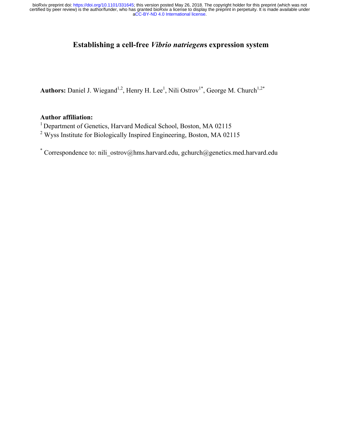[aCC-BY-ND 4.0 International license.](http://creativecommons.org/licenses/by-nd/4.0/) certified by peer review) is the author/funder, who has granted bioRxiv a license to display the preprint in perpetuity. It is made available under bioRxiv preprint doi: [https://doi.org/10.1101/331645;](https://doi.org/10.1101/331645) this version posted May 26, 2018. The copyright holder for this preprint (which was not

# **Establishing a cell-free** *Vibrio natriegen***s expression system**

Authors: Daniel J. Wiegand<sup>1,2</sup>, Henry H. Lee<sup>1</sup>, Nili Ostrov<sup>1\*</sup>, George M. Church<sup>1,2\*</sup>

## **Author affiliation:**

<sup>1</sup> Department of Genetics, Harvard Medical School, Boston, MA 02115

<sup>2</sup> Wyss Institute for Biologically Inspired Engineering, Boston, MA 02115

\* Correspondence to: nili\_ostrov@hms.harvard.edu, gchurch@genetics.med.harvard.edu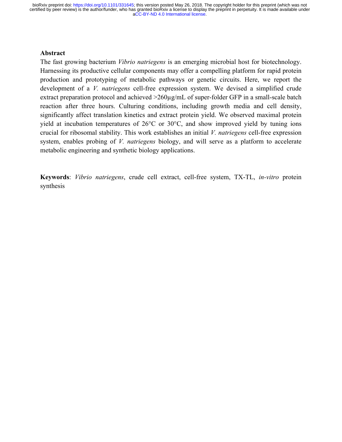[aCC-BY-ND 4.0 International license.](http://creativecommons.org/licenses/by-nd/4.0/) certified by peer review) is the author/funder, who has granted bioRxiv a license to display the preprint in perpetuity. It is made available under bioRxiv preprint doi: [https://doi.org/10.1101/331645;](https://doi.org/10.1101/331645) this version posted May 26, 2018. The copyright holder for this preprint (which was not

## **Abstract**

The fast growing bacterium *Vibrio natriegens* is an emerging microbial host for biotechnology. Harnessing its productive cellular components may offer a compelling platform for rapid protein production and prototyping of metabolic pathways or genetic circuits. Here, we report the development of a *V. natriegens* cell-free expression system. We devised a simplified crude extract preparation protocol and achieved  $>260\mu$ g/mL of super-folder GFP in a small-scale batch reaction after three hours. Culturing conditions, including growth media and cell density, significantly affect translation kinetics and extract protein yield. We observed maximal protein yield at incubation temperatures of 26°C or 30°C, and show improved yield by tuning ions crucial for ribosomal stability. This work establishes an initial *V. natriegens* cell-free expression system, enables probing of *V. natriegens* biology, and will serve as a platform to accelerate metabolic engineering and synthetic biology applications.

**Keywords**: *Vibrio natriegens*, crude cell extract, cell-free system, TX-TL, *in-vitro* protein synthesis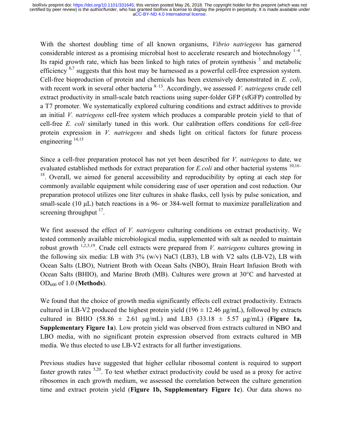[aCC-BY-ND 4.0 International license.](http://creativecommons.org/licenses/by-nd/4.0/) certified by peer review) is the author/funder, who has granted bioRxiv a license to display the preprint in perpetuity. It is made available under bioRxiv preprint doi: [https://doi.org/10.1101/331645;](https://doi.org/10.1101/331645) this version posted May 26, 2018. The copyright holder for this preprint (which was not

With the shortest doubling time of all known organisms, *Vibrio natriegens* has garnered considerable interest as a promising microbial host to accelerate research and biotechnology  $1-4$ . Its rapid growth rate, which has been linked to high rates of protein synthesis  $5$  and metabolic efficiency <sup>6,7</sup> suggests that this host may be harnessed as a powerful cell-free expression system. Cell-free bioproduction of protein and chemicals has been extensively demonstrated in *E. coli*, with recent work in several other bacteria <sup>8–13</sup>. Accordingly, we assessed *V. natriegens* crude cell extract productivity in small-scale batch reactions using super-folder GFP (sfGFP) controlled by a T7 promoter. We systematically explored culturing conditions and extract additives to provide an initial *V. natriegens* cell-free system which produces a comparable protein yield to that of cell-free *E. coli* similarly tuned in this work. Our calibration offers conditions for cell-free protein expression in *V. natriegens* and sheds light on critical factors for future process engineering  $^{14,15}$ 

Since a cell-free preparation protocol has not yet been described for *V. natriegens* to date, we evaluated established methods for extract preparation for *E.coli* and other bacterial systems <sup>10,16–</sup>  $18$ . Overall, we aimed for general accessibility and reproducibility by opting at each step for commonly available equipment while considering ease of user operation and cost reduction. Our preparation protocol utilizes one liter cultures in shake flasks, cell lysis by pulse sonication, and small-scale (10 µL) batch reactions in a 96- or 384-well format to maximize parallelization and screening throughput  $17$ .

We first assessed the effect of *V. natriegens* culturing conditions on extract productivity. We tested commonly available microbiological media, supplemented with salt as needed to maintain robust growth 1,2,5,19. Crude cell extracts were prepared from *V. natriegens* cultures growing in the following six media: LB with  $3\%$  (w/v) NaCl (LB3), LB with V2 salts (LB-V2), LB with Ocean Salts (LBO), Nutrient Broth with Ocean Salts (NBO), Brain Heart Infusion Broth with Ocean Salts (BHIO), and Marine Broth (MB). Cultures were grown at 30°C and harvested at OD600 of 1.0 (**Methods**).

We found that the choice of growth media significantly effects cell extract productivity. Extracts cultured in LB-V2 produced the highest protein yield ( $196 \pm 12.46 \,\mu$ g/mL), followed by extracts cultured in BHIO (58.86  $\pm$  2.61 µg/mL) and LB3 (33.18  $\pm$  5.57 µg/mL) (**Figure 1a, Supplementary Figure 1a**). Low protein yield was observed from extracts cultured in NBO and LBO media, with no significant protein expression observed from extracts cultured in MB media. We thus elected to use LB-V2 extracts for all further investigations.

Previous studies have suggested that higher cellular ribosomal content is required to support faster growth rates  $5,20$ . To test whether extract productivity could be used as a proxy for active ribosomes in each growth medium, we assessed the correlation between the culture generation time and extract protein yield (**Figure 1b, Supplementary Figure 1c**). Our data shows no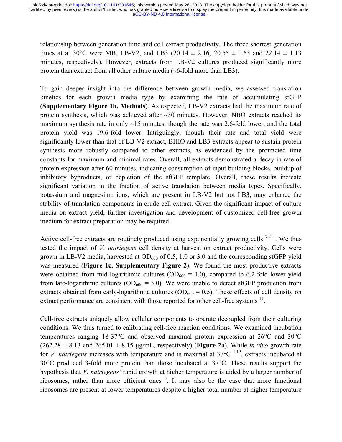relationship between generation time and cell extract productivity. The three shortest generation times at at 30 °C were MB, LB-V2, and LB3 (20.14  $\pm$  2.16, 20.55  $\pm$  0.63 and 22.14  $\pm$  1.13 minutes, respectively). However, extracts from LB-V2 cultures produced significantly more protein than extract from all other culture media (~6-fold more than LB3).

To gain deeper insight into the difference between growth media, we assessed translation kinetics for each growth media type by examining the rate of accumulating sfGFP (**Supplementary Figure 1b, Methods**). As expected, LB-V2 extracts had the maximum rate of protein synthesis, which was achieved after  $\sim$ 30 minutes. However, NBO extracts reached its maximum synthesis rate in only  $\sim$ 15 minutes, though the rate was 2.6-fold lower, and the total protein yield was 19.6-fold lower. Intriguingly, though their rate and total yield were significantly lower than that of LB-V2 extract, BHIO and LB3 extracts appear to sustain protein synthesis more robustly compared to other extracts, as evidenced by the protracted time constants for maximum and minimal rates. Overall, all extracts demonstrated a decay in rate of protein expression after 60 minutes, indicating consumption of input building blocks, buildup of inhibitory byproducts, or depletion of the sfGFP template. Overall, these results indicate significant variation in the fraction of active translation between media types. Specifically, potassium and magnesium ions, which are present in LB-V2 but not LB3, may enhance the stability of translation components in crude cell extract. Given the significant impact of culture media on extract yield, further investigation and development of customized cell-free growth medium for extract preparation may be required.

Active cell-free extracts are routinely produced using exponentially growing cells<sup>17,21</sup>. We thus tested the impact of *V. natriegens* cell density at harvest on extract productivity. Cells were grown in LB-V2 media, harvested at  $OD_{600}$  of 0.5, 1.0 or 3.0 and the corresponding sfGFP yield was measured (**Figure 1c, Supplementary Figure 2**). We found the most productive extracts were obtained from mid-logarithmic cultures ( $OD<sub>600</sub> = 1.0$ ), compared to 6.2-fold lower yield from late-logarithmic cultures ( $OD_{600} = 3.0$ ). We were unable to detect sfGFP production from extracts obtained from early-logarithmic cultures ( $OD<sub>600</sub> = 0.5$ ). These effects of cell density on extract performance are consistent with those reported for other cell-free systems <sup>17</sup>.

Cell-free extracts uniquely allow cellular components to operate decoupled from their culturing conditions. We thus turned to calibrating cell-free reaction conditions. We examined incubation temperatures ranging 18-37°C and observed maximal protein expression at 26°C and 30°C  $(262.28 \pm 8.13$  and  $265.01 \pm 8.15$   $\mu$ g/mL, respectively) (**Figure 2a**). While *in vivo* growth rate for *V. natriegens* increases with temperature and is maximal at  $37^{\circ}C^{-1,19}$ , extracts incubated at 30°C produced 3-fold more protein than those incubated at 37°C. These results support the hypothesis that *V. natriegens'* rapid growth at higher temperature is aided by a larger number of ribosomes, rather than more efficient ones  $<sup>5</sup>$ . It may also be the case that more functional</sup> ribosomes are present at lower temperatures despite a higher total number at higher temperature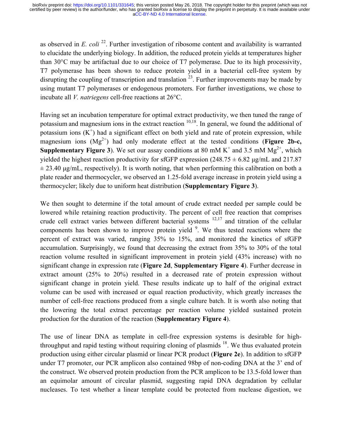as observed in *E. coli* <sup>22</sup>. Further investigation of ribosome content and availability is warranted to elucidate the underlying biology. In addition, the reduced protein yields at temperatures higher than 30°C may be artifactual due to our choice of T7 polymerase. Due to its high processivity, T7 polymerase has been shown to reduce protein yield in a bacterial cell-free system by disrupting the coupling of transcription and translation  $^{23}$ . Further improvements may be made by using mutant T7 polymerases or endogenous promoters. For further investigations, we chose to incubate all *V. natriegens* cell-free reactions at 26°C.

Having set an incubation temperature for optimal extract productivity, we then tuned the range of potassium and magnesium ions in the extract reaction  $10,18$ . In general, we found the additional of potassium ions  $(K^+)$  had a significant effect on both yield and rate of protein expression, while magnesium ions  $(Mg^{2+})$  had only moderate effect at the tested conditions (**Figure 2b-c**, **Supplementary Figure 3**). We set our assay conditions at 80 mM  $K^+$  and 3.5 mM  $Mg^{2+}$ , which yielded the highest reaction productivity for sfGFP expression (248.75  $\pm$  6.82 µg/mL and 217.87  $\pm$  23.40 µg/mL, respectively). It is worth noting, that when performing this calibration on both a plate reader and thermocycler, we observed an 1.25-fold average increase in protein yield using a thermocycler; likely due to uniform heat distribution (**Supplementary Figure 3**).

We then sought to determine if the total amount of crude extract needed per sample could be lowered while retaining reaction productivity. The percent of cell free reaction that comprises crude cell extract varies between different bacterial systems  $12,17$  and titration of the cellular components has been shown to improve protein yield  $9$ . We thus tested reactions where the percent of extract was varied, ranging 35% to 15%, and monitored the kinetics of sfGFP accumulation. Surprisingly, we found that decreasing the extract from 35% to 30% of the total reaction volume resulted in significant improvement in protein yield (43% increase) with no significant change in expression rate (**Figure 2d**, **Supplementary Figure 4**). Further decrease in extract amount (25% to 20%) resulted in a decreased rate of protein expression without significant change in protein yield. These results indicate up to half of the original extract volume can be used with increased or equal reaction productivity, which greatly increases the number of cell-free reactions produced from a single culture batch. It is worth also noting that the lowering the total extract percentage per reaction volume yielded sustained protein production for the duration of the reaction (**Supplementary Figure 4**).

The use of linear DNA as template in cell-free expression systems is desirable for highthroughput and rapid testing without requiring cloning of plasmids  $18$ . We thus evaluated protein production using either circular plasmid or linear PCR product (**Figure 2e**). In addition to sfGFP under T7 promoter, our PCR amplicon also contained 98bp of non-coding DNA at the 3' end of the construct. We observed protein production from the PCR amplicon to be 13.5-fold lower than an equimolar amount of circular plasmid, suggesting rapid DNA degradation by cellular nucleases. To test whether a linear template could be protected from nuclease digestion, we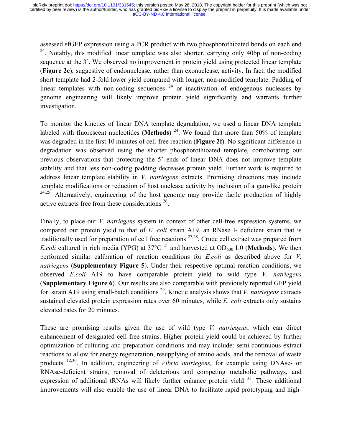assessed sfGFP expression using a PCR product with two phosphorothioated bonds on each end  $24$ . Notably, this modified linear template was also shorter, carrying only 40bp of non-coding sequence at the 3'. We observed no improvement in protein yield using protected linear template (**Figure 2e**), suggestive of endonuclease, rather than exonuclease, activity. In fact, the modified short template had 2-fold lower yield compared with longer, non-modified template. Padding of linear templates with non-coding sequences  $24$  or inactivation of endogenous nucleases by genome engineering will likely improve protein yield significantly and warrants further investigation.

To monitor the kinetics of linear DNA template degradation, we used a linear DNA template labeled with fluorescent nucleotides (**Methods**)<sup>24</sup>. We found that more than 50% of template was degraded in the first 10 minutes of cell-free reaction (**Figure 2f**). No significant difference in degradation was observed using the shorter phosphorothioated template, corroborating our previous observations that protecting the 5' ends of linear DNA does not improve template stability and that less non-coding padding decreases protein yield. Further work is required to address linear template stability in *V. natriegens* extracts. Promising directions may include template modifications or reduction of host nuclease activity by inclusion of a gam-like protein  $24,25$ . Alternatively, engineering of the host genome may provide facile production of highly active extracts free from these considerations 26.

Finally, to place our *V. natriegens* system in context of other cell-free expression systems, we compared our protein yield to that of *E. coli* strain A19, an RNase I- deficient strain that is traditionally used for preparation of cell free reactions  $27,28$ . Crude cell extract was prepared from *E.coli* cultured in rich media (YPG) at 37 $^{\circ}$ C <sup>21</sup> and harvested at OD<sub>600</sub> 1.0 (**Methods**). We then performed similar calibration of reaction conditions for *E.coli* as described above for *V. natriegens* (**Supplementary Figure 5**). Under their respective optimal reaction conditions, we observed *E.coli* A19 to have comparable protein yield to wild type *V. natriegens*  (**Supplementary Figure 6**). Our results are also comparable with previously reported GFP yield for strain A19 using small-batch conditions 29. Kinetic analysis shows that *V. natriegens* extracts sustained elevated protein expression rates over 60 minutes, while *E. coli* extracts only sustains elevated rates for 20 minutes.

These are promising results given the use of wild type *V. natriegens*, which can direct enhancement of designated cell free strains. Higher protein yield could be achieved by further optimization of culturing and preparation conditions and may include: semi-continuous extract reactions to allow for energy regeneration, resupplying of amino acids, and the removal of waste products 12,30. In addition, engineering of *Vibrio natriegens,* for example using DNAse- or RNAse-deficient strains, removal of deleterious and competing metabolic pathways, and expression of additional tRNAs will likely further enhance protein yield  $31$ . These additional improvements will also enable the use of linear DNA to facilitate rapid prototyping and high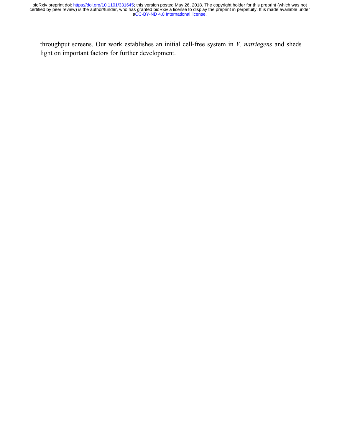throughput screens. Our work establishes an initial cell-free system in *V. natriegens* and sheds light on important factors for further development.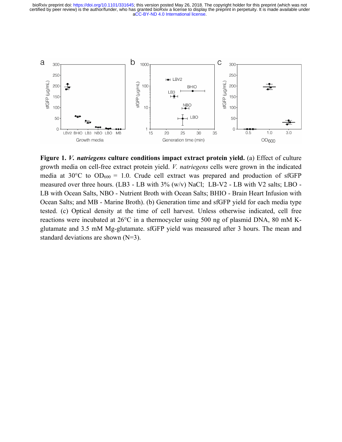[aCC-BY-ND 4.0 International license.](http://creativecommons.org/licenses/by-nd/4.0/) certified by peer review) is the author/funder, who has granted bioRxiv a license to display the preprint in perpetuity. It is made available under bioRxiv preprint doi: [https://doi.org/10.1101/331645;](https://doi.org/10.1101/331645) this version posted May 26, 2018. The copyright holder for this preprint (which was not



**Figure 1.** *V. natriegens* **culture conditions impact extract protein yield.** (a) Effect of culture growth media on cell-free extract protein yield. *V. natriegens* cells were grown in the indicated media at 30°C to  $OD_{600} = 1.0$ . Crude cell extract was prepared and production of sfGFP measured over three hours. (LB3 - LB with 3% (w/v) NaCl; LB-V2 - LB with V2 salts; LBO - LB with Ocean Salts, NBO - Nutrient Broth with Ocean Salts; BHIO - Brain Heart Infusion with Ocean Salts; and MB - Marine Broth). (b) Generation time and sfGFP yield for each media type tested. (c) Optical density at the time of cell harvest. Unless otherwise indicated, cell free reactions were incubated at 26°C in a thermocycler using 500 ng of plasmid DNA, 80 mM Kglutamate and 3.5 mM Mg-glutamate. sfGFP yield was measured after 3 hours. The mean and standard deviations are shown (N=3).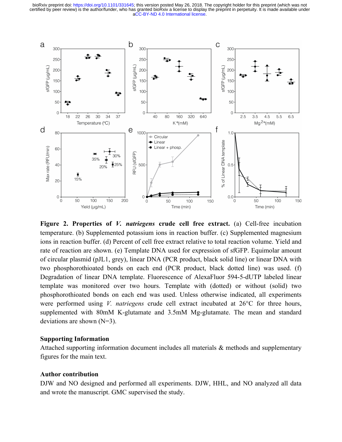[aCC-BY-ND 4.0 International license.](http://creativecommons.org/licenses/by-nd/4.0/) certified by peer review) is the author/funder, who has granted bioRxiv a license to display the preprint in perpetuity. It is made available under bioRxiv preprint doi: [https://doi.org/10.1101/331645;](https://doi.org/10.1101/331645) this version posted May 26, 2018. The copyright holder for this preprint (which was not



**Figure 2. Properties of** *V. natriegens* **crude cell free extract.** (a) Cell-free incubation temperature. (b) Supplemented potassium ions in reaction buffer. (c) Supplemented magnesium ions in reaction buffer. (d) Percent of cell free extract relative to total reaction volume. Yield and rate of reaction are shown. (e) Template DNA used for expression of sfGFP. Equimolar amount of circular plasmid (pJL1, grey), linear DNA (PCR product, black solid line) or linear DNA with two phosphorothioated bonds on each end (PCR product, black dotted line) was used. (f) Degradation of linear DNA template. Fluorescence of AlexaFluor 594-5-dUTP labeled linear template was monitored over two hours. Template with (dotted) or without (solid) two phosphorothioated bonds on each end was used. Unless otherwise indicated, all experiments were performed using *V. natriegens* crude cell extract incubated at 26°C for three hours, supplemented with 80mM K-glutamate and 3.5mM Mg-glutamate. The mean and standard deviations are shown (N=3).

#### **Supporting Information**

Attached supporting information document includes all materials & methods and supplementary figures for the main text.

#### **Author contribution**

DJW and NO designed and performed all experiments. DJW, HHL, and NO analyzed all data and wrote the manuscript. GMC supervised the study.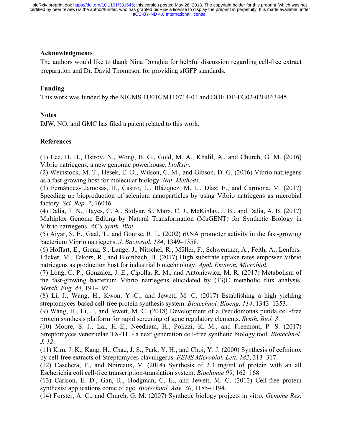## **Acknowledgments**

The authors would like to thank Nina Donghia for helpful discussion regarding cell-free extract preparation and Dr. David Thompson for providing sfGFP standards.

## **Funding**

This work was funded by the NIGMS 1U01GM110714-01 and DOE DE-FG02-02ER63445.

## **Notes**

DJW, NO, and GMC has filed a patent related to this work.

## **References**

(1) Lee, H. H., Ostrov, N., Wong, B. G., Gold, M. A., Khalil, A., and Church, G. M. (2016) Vibrio natriegens, a new genomic powerhouse. *bioRxiv*.

(2) Weinstock, M. T., Hesek, E. D., Wilson, C. M., and Gibson, D. G. (2016) Vibrio natriegens as a fast-growing host for molecular biology. *Nat. Methods*.

(3) Fernández-Llamosas, H., Castro, L., Blázquez, M. L., Díaz, E., and Carmona, M. (2017) Speeding up bioproduction of selenium nanoparticles by using Vibrio natriegens as microbial factory. *Sci. Rep. 7*, 16046.

(4) Dalia, T. N., Hayes, C. A., Stolyar, S., Marx, C. J., McKinlay, J. B., and Dalia, A. B. (2017) Multiplex Genome Editing by Natural Transformation (MuGENT) for Synthetic Biology in Vibrio natriegens. *ACS Synth. Biol.*

(5) Aiyar, S. E., Gaal, T., and Gourse, R. L. (2002) rRNA promoter activity in the fast-growing bacterium Vibrio natriegens. *J. Bacteriol. 184*, 1349–1358.

(6) Hoffart, E., Grenz, S., Lange, J., Nitschel, R., Müller, F., Schwentner, A., Feith, A., Lenfers-Lücker, M., Takors, R., and Blombach, B. (2017) High substrate uptake rates empower Vibrio natriegens as production host for industrial biotechnology. *Appl. Environ. Microbiol.*

(7) Long, C. P., Gonzalez, J. E., Cipolla, R. M., and Antoniewicz, M. R. (2017) Metabolism of the fast-growing bacterium Vibrio natriegens elucidated by (13)C metabolic flux analysis. *Metab. Eng. 44*, 191–197.

(8) Li, J., Wang, H., Kwon, Y.-C., and Jewett, M. C. (2017) Establishing a high yielding streptomyces-based cell-free protein synthesis system. *Biotechnol. Bioeng. 114*, 1343–1353.

(9) Wang, H., Li, J., and Jewett, M. C. (2018) Development of a Pseudomonas putida cell-free protein synthesis platform for rapid screening of gene regulatory elements. *Synth. Biol. 3*.

(10) Moore, S. J., Lai, H.-E., Needham, H., Polizzi, K. M., and Freemont, P. S. (2017) Streptomyces venezuelae TX-TL - a next generation cell-free synthetic biology tool. *Biotechnol. J. 12*.

(11) Kim, J. K., Kang, H., Chae, J. S., Park, Y. H., and Choi, Y. J. (2000) Synthesis of cefminox by cell-free extracts of Streptomyces clavuligerus. *FEMS Microbiol. Lett. 182*, 313–317.

(12) Caschera, F., and Noireaux, V. (2014) Synthesis of 2.3 mg/ml of protein with an all Escherichia coli cell-free transcription-translation system. *Biochimie 99*, 162–168.

(13) Carlson, E. D., Gan, R., Hodgman, C. E., and Jewett, M. C. (2012) Cell-free protein synthesis: applications come of age. *Biotechnol. Adv. 30*, 1185–1194.

(14) Forster, A. C., and Church, G. M. (2007) Synthetic biology projects in vitro. *Genome Res.*